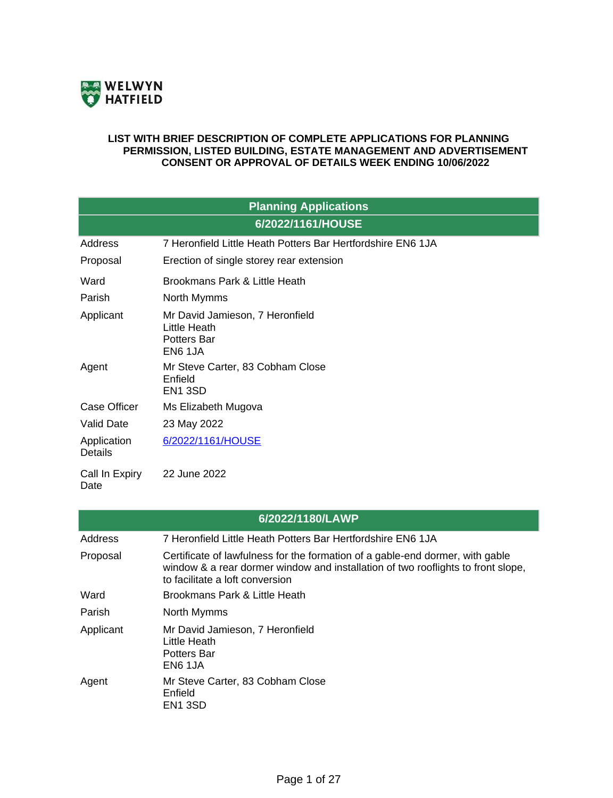

#### **LIST WITH BRIEF DESCRIPTION OF COMPLETE APPLICATIONS FOR PLANNING PERMISSION, LISTED BUILDING, ESTATE MANAGEMENT AND ADVERTISEMENT CONSENT OR APPROVAL OF DETAILS WEEK ENDING 10/06/2022**

| <b>Planning Applications</b>  |                                                                           |  |
|-------------------------------|---------------------------------------------------------------------------|--|
| 6/2022/1161/HOUSE             |                                                                           |  |
| Address                       | 7 Heronfield Little Heath Potters Bar Hertfordshire EN6 1JA               |  |
| Proposal                      | Erection of single storey rear extension                                  |  |
| Ward                          | Brookmans Park & Little Heath                                             |  |
| Parish                        | North Mymms                                                               |  |
| Applicant                     | Mr David Jamieson, 7 Heronfield<br>Little Heath<br>Potters Bar<br>EN6 1JA |  |
| Agent                         | Mr Steve Carter, 83 Cobham Close<br>Enfield<br>EN <sub>1</sub> 3SD        |  |
| <b>Case Officer</b>           | Ms Elizabeth Mugova                                                       |  |
| <b>Valid Date</b>             | 23 May 2022                                                               |  |
| Application<br><b>Details</b> | 6/2022/1161/HOUSE                                                         |  |
| Call In Expiry<br>Date        | 22 June 2022                                                              |  |

| 6/2022/1180/LAWP |                                                                                                                                                                                                      |  |
|------------------|------------------------------------------------------------------------------------------------------------------------------------------------------------------------------------------------------|--|
| <b>Address</b>   | 7 Heronfield Little Heath Potters Bar Hertfordshire EN6 1JA                                                                                                                                          |  |
| Proposal         | Certificate of lawfulness for the formation of a gable-end dormer, with gable<br>window & a rear dormer window and installation of two rooflights to front slope,<br>to facilitate a loft conversion |  |
| Ward             | Brookmans Park & Little Heath                                                                                                                                                                        |  |
| Parish           | North Mymms                                                                                                                                                                                          |  |
| Applicant        | Mr David Jamieson, 7 Heronfield<br>Little Heath<br>Potters Bar<br>EN6 1JA                                                                                                                            |  |
| Agent            | Mr Steve Carter, 83 Cobham Close<br>Enfield<br>EN <sub>1</sub> 3SD                                                                                                                                   |  |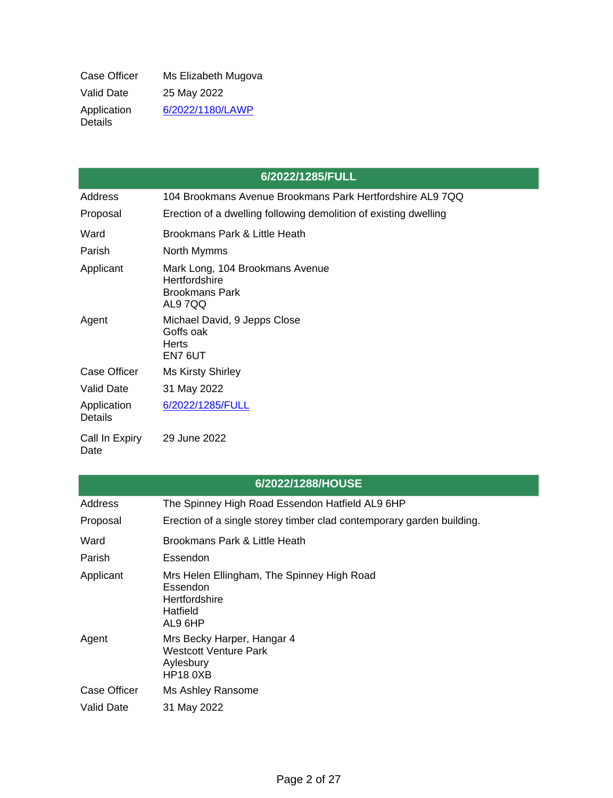| Case Officer                  | Ms Elizabeth Mugova |
|-------------------------------|---------------------|
| <b>Valid Date</b>             | 25 May 2022         |
| Application<br><b>Details</b> | 6/2022/1180/LAWP    |

|                               | 6/2022/1285/FULL                                                                    |
|-------------------------------|-------------------------------------------------------------------------------------|
| Address                       | 104 Brookmans Avenue Brookmans Park Hertfordshire AL9 7QQ                           |
| Proposal                      | Erection of a dwelling following demolition of existing dwelling                    |
| Ward                          | Brookmans Park & Little Heath                                                       |
| Parish                        | North Mymms                                                                         |
| Applicant                     | Mark Long, 104 Brookmans Avenue<br>Hertfordshire<br><b>Brookmans Park</b><br>AL97QQ |
| Agent                         | Michael David, 9 Jepps Close<br>Goffs oak<br><b>Herts</b><br>EN7 6UT                |
| Case Officer                  | <b>Ms Kirsty Shirley</b>                                                            |
| <b>Valid Date</b>             | 31 May 2022                                                                         |
| Application<br><b>Details</b> | 6/2022/1285/FULL                                                                    |
| Call In Expiry<br>Date        | 29 June 2022                                                                        |

٦

| 6/2022/1288/HOUSE   |                                                                                                |  |
|---------------------|------------------------------------------------------------------------------------------------|--|
| Address             | The Spinney High Road Essendon Hatfield AL9 6HP                                                |  |
| Proposal            | Erection of a single storey timber clad contemporary garden building.                          |  |
| Ward                | Brookmans Park & Little Heath                                                                  |  |
| Parish              | Essendon                                                                                       |  |
| Applicant           | Mrs Helen Ellingham, The Spinney High Road<br>Essendon<br>Hertfordshire<br>Hatfield<br>AL9 6HP |  |
| Agent               | Mrs Becky Harper, Hangar 4<br>Westcott Venture Park<br>Aylesbury<br><b>HP18 0XB</b>            |  |
| <b>Case Officer</b> | Ms Ashley Ransome                                                                              |  |
| <b>Valid Date</b>   | 31 May 2022                                                                                    |  |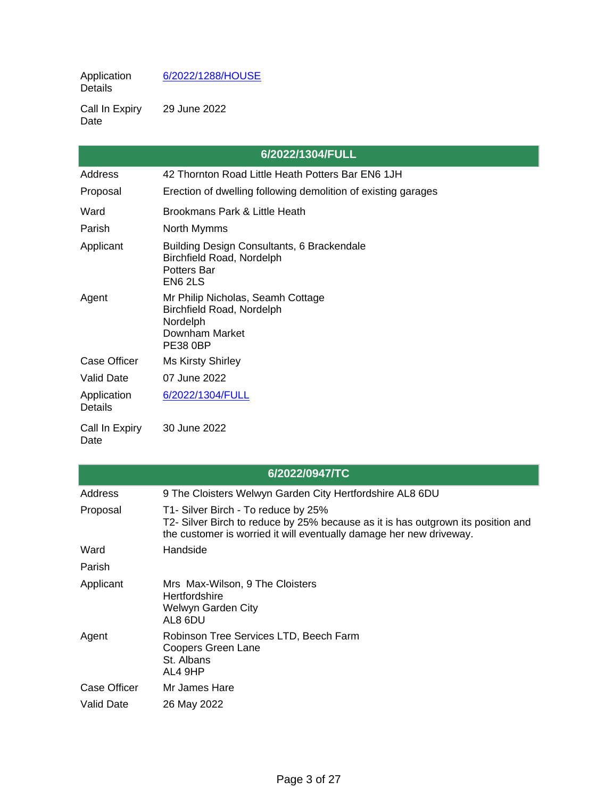#### **Application** Details [6/2022/1288/HOUSE](https://planning.welhat.gov.uk/planning/display/6/2022/1288/HOUSE)

Call In Expiry Date 29 June 2022

|                               | 6/2022/1304/FULL                                                                                                |
|-------------------------------|-----------------------------------------------------------------------------------------------------------------|
| Address                       | 42 Thornton Road Little Heath Potters Bar EN6 1JH                                                               |
| Proposal                      | Erection of dwelling following demolition of existing garages                                                   |
| Ward                          | Brookmans Park & Little Heath                                                                                   |
| Parish                        | North Mymms                                                                                                     |
| Applicant                     | Building Design Consultants, 6 Brackendale<br>Birchfield Road, Nordelph<br><b>Potters Bar</b><br><b>EN6 2LS</b> |
| Agent                         | Mr Philip Nicholas, Seamh Cottage<br>Birchfield Road, Nordelph<br>Nordelph<br>Downham Market<br><b>PE38 0BP</b> |
| <b>Case Officer</b>           | <b>Ms Kirsty Shirley</b>                                                                                        |
| <b>Valid Date</b>             | 07 June 2022                                                                                                    |
| Application<br><b>Details</b> | 6/2022/1304/FULL                                                                                                |
| Call In Expiry<br>Date        | 30 June 2022                                                                                                    |

| 6/2022/0947/TC |                                                                                                                                                                                                |  |
|----------------|------------------------------------------------------------------------------------------------------------------------------------------------------------------------------------------------|--|
|                |                                                                                                                                                                                                |  |
| Address        | 9 The Cloisters Welwyn Garden City Hertfordshire AL8 6DU                                                                                                                                       |  |
| Proposal       | T1- Silver Birch - To reduce by 25%<br>T2- Silver Birch to reduce by 25% because as it is has outgrown its position and<br>the customer is worried it will eventually damage her new driveway. |  |
| Ward           | Handside                                                                                                                                                                                       |  |
| Parish         |                                                                                                                                                                                                |  |
| Applicant      | Mrs Max-Wilson, 9 The Cloisters<br><b>Hertfordshire</b><br>Welwyn Garden City<br>AL8 6DU                                                                                                       |  |
| Agent          | Robinson Tree Services LTD, Beech Farm<br><b>Coopers Green Lane</b><br>St. Albans<br>AL4 9HP                                                                                                   |  |
| Case Officer   | Mr James Hare                                                                                                                                                                                  |  |
| Valid Date     | 26 May 2022                                                                                                                                                                                    |  |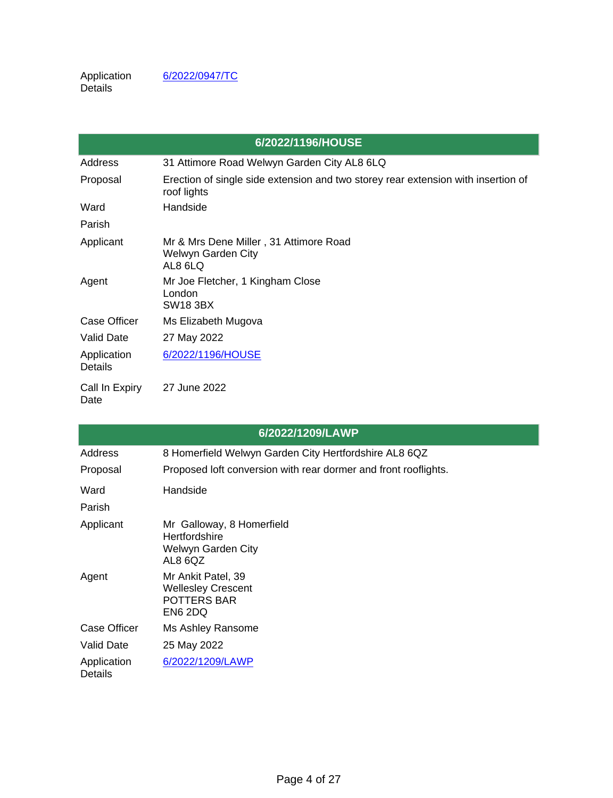|                        | 6/2022/1196/HOUSE                                                                                |
|------------------------|--------------------------------------------------------------------------------------------------|
| Address                | 31 Attimore Road Welwyn Garden City AL8 6LQ                                                      |
| Proposal               | Erection of single side extension and two storey rear extension with insertion of<br>roof lights |
| Ward                   | Handside                                                                                         |
| Parish                 |                                                                                                  |
| Applicant              | Mr & Mrs Dene Miller, 31 Attimore Road<br>Welwyn Garden City<br>AL8 6LQ                          |
| Agent                  | Mr Joe Fletcher, 1 Kingham Close<br>London<br><b>SW18 3BX</b>                                    |
| <b>Case Officer</b>    | Ms Elizabeth Mugova                                                                              |
| <b>Valid Date</b>      | 27 May 2022                                                                                      |
| Application<br>Details | 6/2022/1196/HOUSE                                                                                |
| Call In Expiry<br>Date | 27 June 2022                                                                                     |

|                               | 6/2022/1209/LAWP                                                                 |
|-------------------------------|----------------------------------------------------------------------------------|
| Address                       | 8 Homerfield Welwyn Garden City Hertfordshire AL8 6QZ                            |
| Proposal                      | Proposed loft conversion with rear dormer and front rooflights.                  |
| Ward<br>Parish                | Handside                                                                         |
| Applicant                     | Mr Galloway, 8 Homerfield<br>Hertfordshire<br>Welwyn Garden City<br>AL8 6QZ      |
| Agent                         | Mr Ankit Patel, 39<br><b>Wellesley Crescent</b><br><b>POTTERS BAR</b><br>EN6 2DQ |
| Case Officer                  | Ms Ashley Ransome                                                                |
| Valid Date                    | 25 May 2022                                                                      |
| Application<br><b>Details</b> | 6/2022/1209/LAWP                                                                 |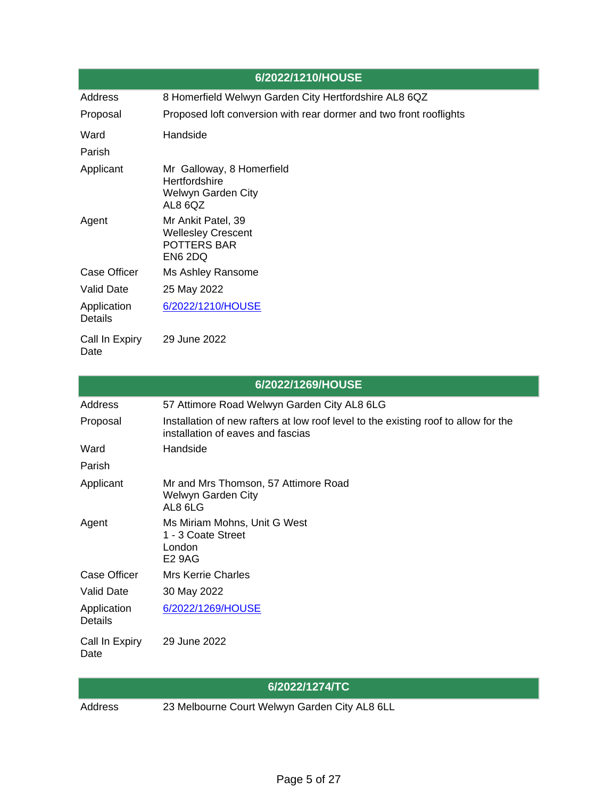|                               | 6/2022/1210/HOUSE                                                                  |
|-------------------------------|------------------------------------------------------------------------------------|
| Address                       | 8 Homerfield Welwyn Garden City Hertfordshire AL8 6QZ                              |
| Proposal                      | Proposed loft conversion with rear dormer and two front rooflights                 |
| Ward                          | Handside                                                                           |
| Parish                        |                                                                                    |
| Applicant                     | Mr Galloway, 8 Homerfield<br><b>Hertfordshire</b><br>Welwyn Garden City<br>AL8 6QZ |
| Agent                         | Mr Ankit Patel, 39<br><b>Wellesley Crescent</b><br>POTTERS BAR<br>EN6 2DQ          |
| Case Officer                  | Ms Ashley Ransome                                                                  |
| <b>Valid Date</b>             | 25 May 2022                                                                        |
| Application<br><b>Details</b> | 6/2022/1210/HOUSE                                                                  |
| Call In Expiry<br>Date        | 29 June 2022                                                                       |

| 6/2022/1269/HOUSE             |                                                                                                                          |  |
|-------------------------------|--------------------------------------------------------------------------------------------------------------------------|--|
| Address                       | 57 Attimore Road Welwyn Garden City AL8 6LG                                                                              |  |
| Proposal                      | Installation of new rafters at low roof level to the existing roof to allow for the<br>installation of eaves and fascias |  |
| Ward                          | Handside                                                                                                                 |  |
| Parish                        |                                                                                                                          |  |
| Applicant                     | Mr and Mrs Thomson, 57 Attimore Road<br>Welwyn Garden City<br>AL8 6LG                                                    |  |
| Agent                         | Ms Miriam Mohns, Unit G West<br>1 - 3 Coate Street<br>London<br><b>E2 9AG</b>                                            |  |
| <b>Case Officer</b>           | <b>Mrs Kerrie Charles</b>                                                                                                |  |
| <b>Valid Date</b>             | 30 May 2022                                                                                                              |  |
| Application<br><b>Details</b> | 6/2022/1269/HOUSE                                                                                                        |  |
| Call In Expiry<br>Date        | 29 June 2022                                                                                                             |  |

## **6/2022/1274/TC**

Address 23 Melbourne Court Welwyn Garden City AL8 6LL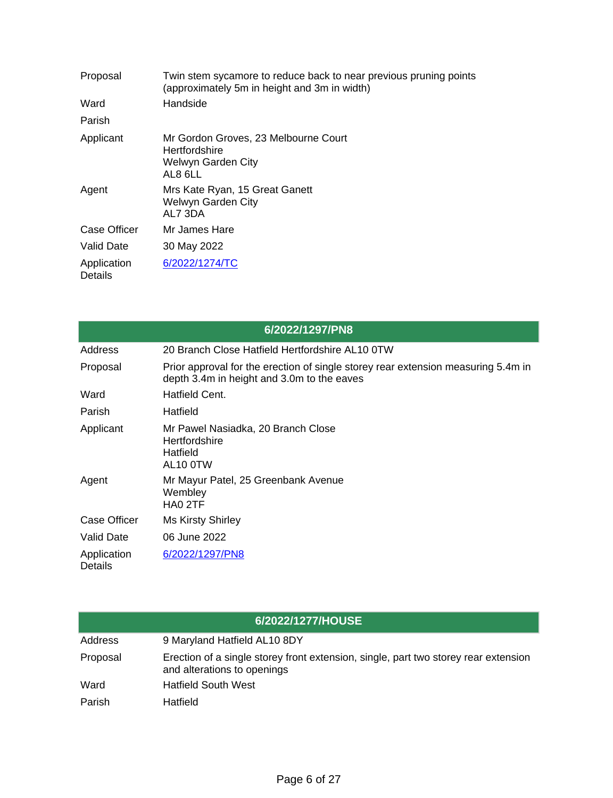| Proposal               | Twin stem sycamore to reduce back to near previous pruning points<br>(approximately 5m in height and 3m in width) |
|------------------------|-------------------------------------------------------------------------------------------------------------------|
| Ward                   | Handside                                                                                                          |
| Parish                 |                                                                                                                   |
| Applicant              | Mr Gordon Groves, 23 Melbourne Court<br>Hertfordshire<br>Welwyn Garden City<br>AL8 6LL                            |
| Agent                  | Mrs Kate Ryan, 15 Great Ganett<br>Welwyn Garden City<br>AL7 3DA                                                   |
| Case Officer           | Mr James Hare                                                                                                     |
| Valid Date             | 30 May 2022                                                                                                       |
| Application<br>Details | 6/2022/1274/TC                                                                                                    |

|                               | 6/2022/1297/PN8                                                                                                                 |
|-------------------------------|---------------------------------------------------------------------------------------------------------------------------------|
| Address                       | 20 Branch Close Hatfield Hertfordshire AL10 0TW                                                                                 |
| Proposal                      | Prior approval for the erection of single storey rear extension measuring 5.4m in<br>depth 3.4m in height and 3.0m to the eaves |
| Ward                          | Hatfield Cent.                                                                                                                  |
| Parish                        | Hatfield                                                                                                                        |
| Applicant                     | Mr Pawel Nasiadka, 20 Branch Close<br><b>Hertfordshire</b><br>Hatfield<br>AL10 0TW                                              |
| Agent                         | Mr Mayur Patel, 25 Greenbank Avenue<br>Wembley<br>HA0 2TF                                                                       |
| <b>Case Officer</b>           | <b>Ms Kirsty Shirley</b>                                                                                                        |
| <b>Valid Date</b>             | 06 June 2022                                                                                                                    |
| Application<br><b>Details</b> | 6/2022/1297/PN8                                                                                                                 |

| 6/2022/1277/HOUSE |                                                                                                                    |  |
|-------------------|--------------------------------------------------------------------------------------------------------------------|--|
| Address           | 9 Maryland Hatfield AL10 8DY                                                                                       |  |
| Proposal          | Erection of a single storey front extension, single, part two storey rear extension<br>and alterations to openings |  |
| Ward              | <b>Hatfield South West</b>                                                                                         |  |
| Parish            | Hatfield                                                                                                           |  |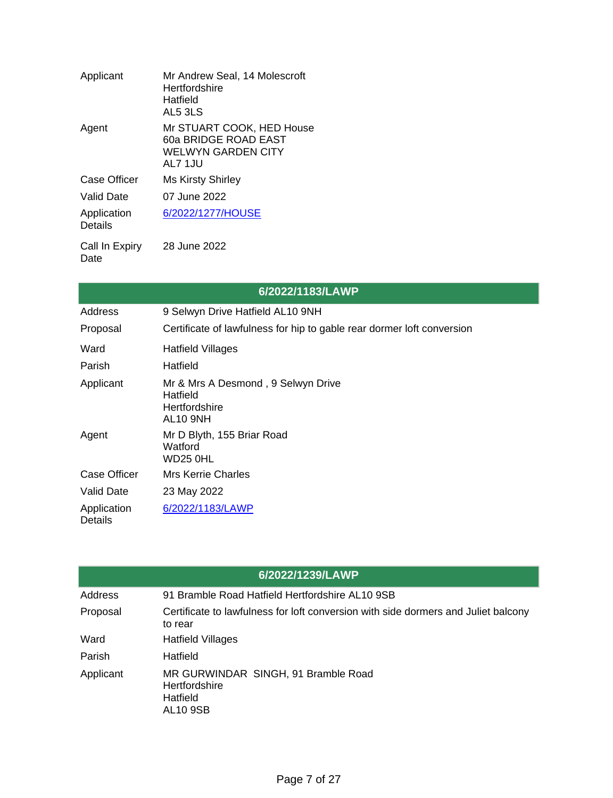| Applicant                     | Mr Andrew Seal, 14 Molescroft<br>Hertfordshire<br>Hatfield<br>AL5 3LS              |
|-------------------------------|------------------------------------------------------------------------------------|
| Agent                         | Mr STUART COOK, HED House<br>60a BRIDGE ROAD EAST<br>WELWYN GARDEN CITY<br>AL7 1JU |
| Case Officer                  | <b>Ms Kirsty Shirley</b>                                                           |
| Valid Date                    | 07 June 2022                                                                       |
| Application<br><b>Details</b> | 6/2022/1277/HOUSE                                                                  |
| Call In Expiry                | 28 June 2022                                                                       |

 $\mathsf{expi}$ Date

| 6/2022/1183/LAWP              |                                                                                    |  |
|-------------------------------|------------------------------------------------------------------------------------|--|
| Address                       | 9 Selwyn Drive Hatfield AL10 9NH                                                   |  |
| Proposal                      | Certificate of lawfulness for hip to gable rear dormer loft conversion             |  |
| Ward                          | <b>Hatfield Villages</b>                                                           |  |
| Parish                        | Hatfield                                                                           |  |
| Applicant                     | Mr & Mrs A Desmond, 9 Selwyn Drive<br>Hatfield<br>Hertfordshire<br><b>AL10 9NH</b> |  |
| Agent                         | Mr D Blyth, 155 Briar Road<br>Watford<br>WD25 0HL                                  |  |
| Case Officer                  | <b>Mrs Kerrie Charles</b>                                                          |  |
| <b>Valid Date</b>             | 23 May 2022                                                                        |  |
| Application<br><b>Details</b> | 6/2022/1183/LAWP                                                                   |  |

| 6/2022/1239/LAWP |                                                                                               |  |
|------------------|-----------------------------------------------------------------------------------------------|--|
| Address          | 91 Bramble Road Hatfield Hertfordshire AL10 9SB                                               |  |
| Proposal         | Certificate to lawfulness for loft conversion with side dormers and Juliet balcony<br>to rear |  |
| Ward             | <b>Hatfield Villages</b>                                                                      |  |
| Parish           | Hatfield                                                                                      |  |
| Applicant        | MR GURWINDAR SINGH, 91 Bramble Road<br>Hertfordshire<br>Hatfield<br><b>AL10 9SB</b>           |  |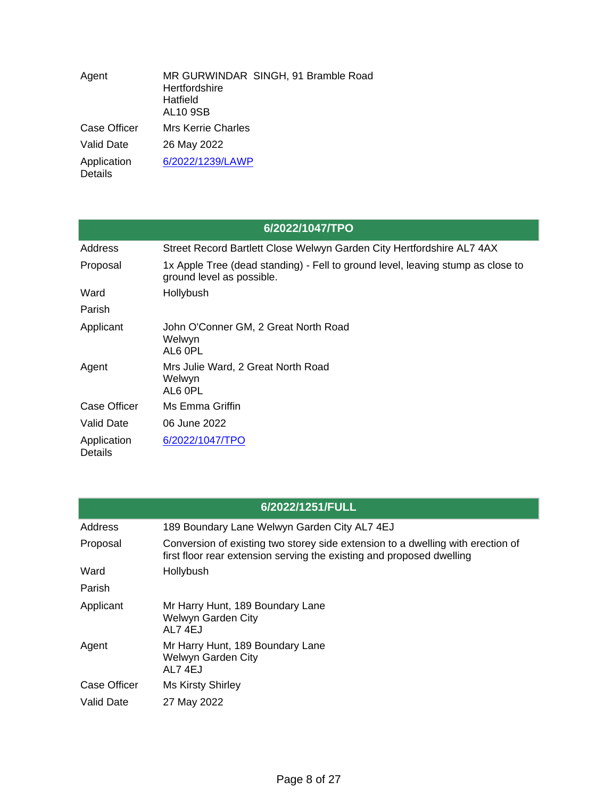| Agent                         | MR GURWINDAR SINGH, 91 Bramble Road<br>Hertfordshire<br>Hatfield<br><b>AL10 9SB</b> |
|-------------------------------|-------------------------------------------------------------------------------------|
| Case Officer                  | <b>Mrs Kerrie Charles</b>                                                           |
| <b>Valid Date</b>             | 26 May 2022                                                                         |
| Application<br><b>Details</b> | 6/2022/1239/LAWP                                                                    |

|                        | 6/2022/1047/TPO                                                                                              |
|------------------------|--------------------------------------------------------------------------------------------------------------|
| Address                | Street Record Bartlett Close Welwyn Garden City Hertfordshire AL7 4AX                                        |
| Proposal               | 1x Apple Tree (dead standing) - Fell to ground level, leaving stump as close to<br>ground level as possible. |
| Ward                   | Hollybush                                                                                                    |
| Parish                 |                                                                                                              |
| Applicant              | John O'Conner GM, 2 Great North Road<br>Welwyn<br>AL6 OPL                                                    |
| Agent                  | Mrs Julie Ward, 2 Great North Road<br>Welwyn<br>AL6 OPL                                                      |
| <b>Case Officer</b>    | Ms Emma Griffin                                                                                              |
| Valid Date             | 06 June 2022                                                                                                 |
| Application<br>Details | 6/2022/1047/TPO                                                                                              |

| 6/2022/1251/FULL |                                                                                                                                                          |  |
|------------------|----------------------------------------------------------------------------------------------------------------------------------------------------------|--|
| Address          | 189 Boundary Lane Welwyn Garden City AL7 4EJ                                                                                                             |  |
| Proposal         | Conversion of existing two storey side extension to a dwelling with erection of<br>first floor rear extension serving the existing and proposed dwelling |  |
| Ward             | Hollybush                                                                                                                                                |  |
| Parish           |                                                                                                                                                          |  |
| Applicant        | Mr Harry Hunt, 189 Boundary Lane<br><b>Welwyn Garden City</b><br>AL74EJ                                                                                  |  |
| Agent            | Mr Harry Hunt, 189 Boundary Lane<br>Welwyn Garden City<br>AL74EJ                                                                                         |  |
| Case Officer     | <b>Ms Kirsty Shirley</b>                                                                                                                                 |  |
| Valid Date       | 27 May 2022                                                                                                                                              |  |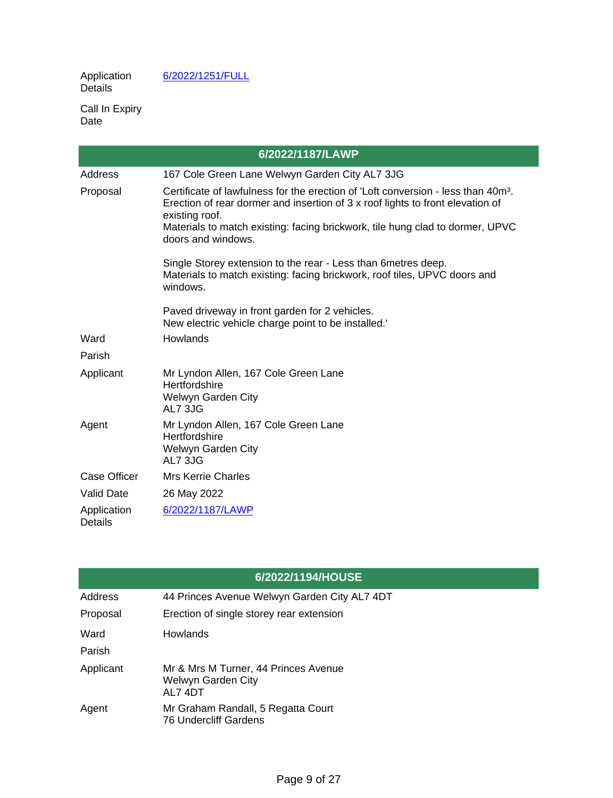**Application** Details

[6/2022/1251/FULL](https://planning.welhat.gov.uk/planning/display/6/2022/1251/FULL)

Call In Expiry Date

| 6/2022/1187/LAWP              |                                                                                                                                                                                                                                                                                    |  |
|-------------------------------|------------------------------------------------------------------------------------------------------------------------------------------------------------------------------------------------------------------------------------------------------------------------------------|--|
| Address                       | 167 Cole Green Lane Welwyn Garden City AL7 3JG                                                                                                                                                                                                                                     |  |
| Proposal                      | Certificate of lawfulness for the erection of 'Loft conversion - less than 40m <sup>3</sup> .<br>Erection of rear dormer and insertion of 3 x roof lights to front elevation of<br>existing roof.<br>Materials to match existing: facing brickwork, tile hung clad to dormer, UPVC |  |
|                               | doors and windows.                                                                                                                                                                                                                                                                 |  |
|                               | Single Storey extension to the rear - Less than 6 metres deep.<br>Materials to match existing: facing brickwork, roof tiles, UPVC doors and<br>windows.                                                                                                                            |  |
|                               | Paved driveway in front garden for 2 vehicles.<br>New electric vehicle charge point to be installed."                                                                                                                                                                              |  |
| Ward                          | Howlands                                                                                                                                                                                                                                                                           |  |
| Parish                        |                                                                                                                                                                                                                                                                                    |  |
| Applicant                     | Mr Lyndon Allen, 167 Cole Green Lane<br>Hertfordshire<br>Welwyn Garden City<br>AL7 3JG                                                                                                                                                                                             |  |
| Agent                         | Mr Lyndon Allen, 167 Cole Green Lane<br>Hertfordshire<br>Welwyn Garden City<br>AL7 3JG                                                                                                                                                                                             |  |
| Case Officer                  | <b>Mrs Kerrie Charles</b>                                                                                                                                                                                                                                                          |  |
| <b>Valid Date</b>             | 26 May 2022                                                                                                                                                                                                                                                                        |  |
| Application<br><b>Details</b> | 6/2022/1187/LAWP                                                                                                                                                                                                                                                                   |  |

|           | 6/2022/1194/HOUSE                                                    |
|-----------|----------------------------------------------------------------------|
| Address   | 44 Princes Avenue Welwyn Garden City AL7 4DT                         |
| Proposal  | Erection of single storey rear extension                             |
| Ward      | Howlands                                                             |
| Parish    |                                                                      |
| Applicant | Mr & Mrs M Turner, 44 Princes Avenue<br>Welwyn Garden City<br>AL74DT |
| Agent     | Mr Graham Randall, 5 Regatta Court<br><b>76 Undercliff Gardens</b>   |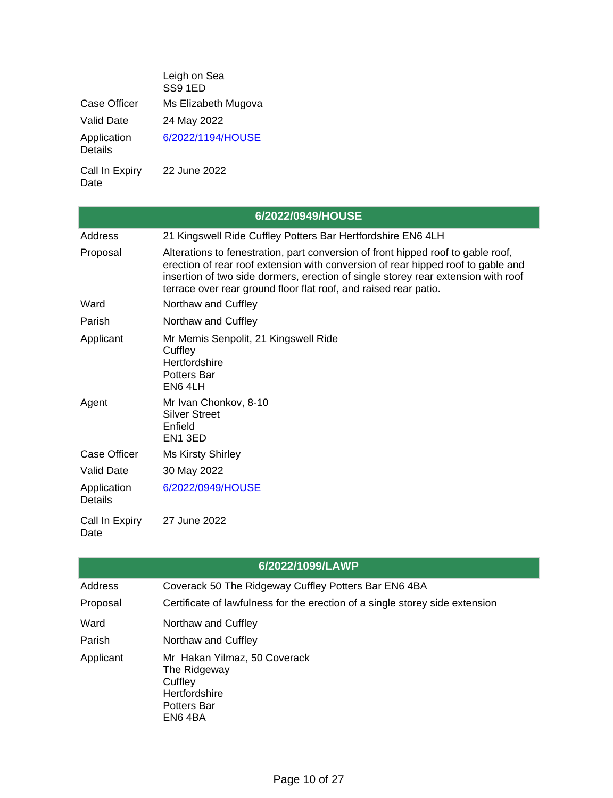| Leigh on Sea<br>SS91ED |
|------------------------|
| Ms Elizabeth Mugova    |
| 24 May 2022            |
| 6/2022/1194/HOUSE      |
|                        |

Call In Expiry Date 22 June 2022

| 6/2022/0949/HOUSE             |                                                                                                                                                                                                                                                                                                                               |  |
|-------------------------------|-------------------------------------------------------------------------------------------------------------------------------------------------------------------------------------------------------------------------------------------------------------------------------------------------------------------------------|--|
| Address                       | 21 Kingswell Ride Cuffley Potters Bar Hertfordshire EN6 4LH                                                                                                                                                                                                                                                                   |  |
| Proposal                      | Alterations to fenestration, part conversion of front hipped roof to gable roof,<br>erection of rear roof extension with conversion of rear hipped roof to gable and<br>insertion of two side dormers, erection of single storey rear extension with roof<br>terrace over rear ground floor flat roof, and raised rear patio. |  |
| Ward                          | Northaw and Cuffley                                                                                                                                                                                                                                                                                                           |  |
| Parish                        | Northaw and Cuffley                                                                                                                                                                                                                                                                                                           |  |
| Applicant                     | Mr Memis Senpolit, 21 Kingswell Ride<br>Cuffley<br>Hertfordshire<br><b>Potters Bar</b><br>EN6 4LH                                                                                                                                                                                                                             |  |
| Agent                         | Mr Ivan Chonkov, 8-10<br><b>Silver Street</b><br>Enfield<br>EN <sub>1</sub> 3ED                                                                                                                                                                                                                                               |  |
| <b>Case Officer</b>           | <b>Ms Kirsty Shirley</b>                                                                                                                                                                                                                                                                                                      |  |
| <b>Valid Date</b>             | 30 May 2022                                                                                                                                                                                                                                                                                                                   |  |
| Application<br><b>Details</b> | 6/2022/0949/HOUSE                                                                                                                                                                                                                                                                                                             |  |
| Call In Expiry<br>Date        | 27 June 2022                                                                                                                                                                                                                                                                                                                  |  |

|           | 6/2022/1099/LAWP                                                                                          |
|-----------|-----------------------------------------------------------------------------------------------------------|
| Address   | Coverack 50 The Ridgeway Cuffley Potters Bar EN6 4BA                                                      |
| Proposal  | Certificate of lawfulness for the erection of a single storey side extension                              |
| Ward      | Northaw and Cuffley                                                                                       |
| Parish    | Northaw and Cuffley                                                                                       |
| Applicant | Mr Hakan Yilmaz, 50 Coverack<br>The Ridgeway<br>Cuffley<br><b>Hertfordshire</b><br>Potters Bar<br>EN6 4BA |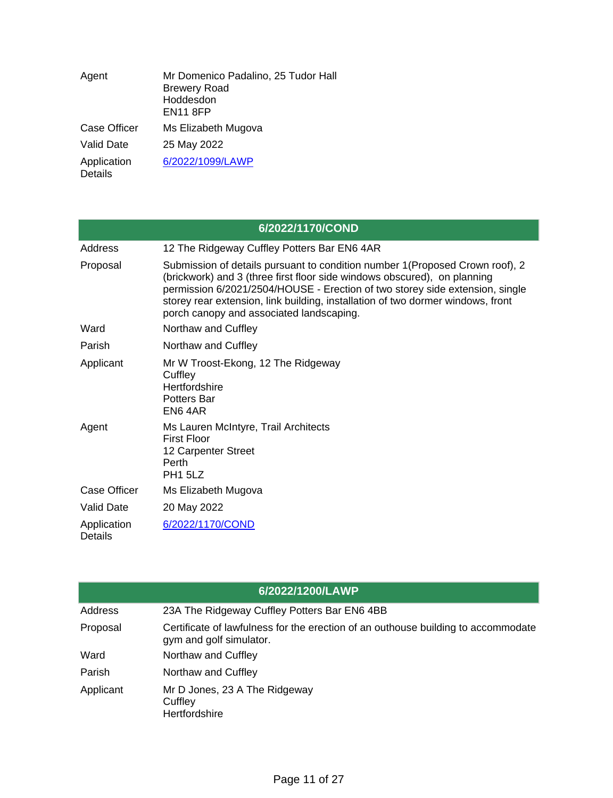| Agent                         | Mr Domenico Padalino, 25 Tudor Hall<br><b>Brewery Road</b><br>Hoddesdon<br><b>EN11 8FP</b> |
|-------------------------------|--------------------------------------------------------------------------------------------|
| <b>Case Officer</b>           | Ms Elizabeth Mugova                                                                        |
| <b>Valid Date</b>             | 25 May 2022                                                                                |
| Application<br><b>Details</b> | 6/2022/1099/LAWP                                                                           |

| 6/2022/1170/COND              |                                                                                                                                                                                                                                                                                                                                                                          |  |
|-------------------------------|--------------------------------------------------------------------------------------------------------------------------------------------------------------------------------------------------------------------------------------------------------------------------------------------------------------------------------------------------------------------------|--|
| Address                       | 12 The Ridgeway Cuffley Potters Bar EN6 4AR                                                                                                                                                                                                                                                                                                                              |  |
| Proposal                      | Submission of details pursuant to condition number 1 (Proposed Crown roof), 2<br>(brickwork) and 3 (three first floor side windows obscured), on planning<br>permission 6/2021/2504/HOUSE - Erection of two storey side extension, single<br>storey rear extension, link building, installation of two dormer windows, front<br>porch canopy and associated landscaping. |  |
| Ward                          | Northaw and Cuffley                                                                                                                                                                                                                                                                                                                                                      |  |
| Parish                        | Northaw and Cuffley                                                                                                                                                                                                                                                                                                                                                      |  |
| Applicant                     | Mr W Troost-Ekong, 12 The Ridgeway<br>Cuffley<br>Hertfordshire<br><b>Potters Bar</b><br>EN64AR                                                                                                                                                                                                                                                                           |  |
| Agent                         | Ms Lauren McIntyre, Trail Architects<br><b>First Floor</b><br>12 Carpenter Street<br>Perth<br>PH <sub>1</sub> 5LZ                                                                                                                                                                                                                                                        |  |
| <b>Case Officer</b>           | Ms Elizabeth Mugova                                                                                                                                                                                                                                                                                                                                                      |  |
| <b>Valid Date</b>             | 20 May 2022                                                                                                                                                                                                                                                                                                                                                              |  |
| Application<br><b>Details</b> | 6/2022/1170/COND                                                                                                                                                                                                                                                                                                                                                         |  |

|           | 6/2022/1200/LAWP                                                                                             |
|-----------|--------------------------------------------------------------------------------------------------------------|
| Address   | 23A The Ridgeway Cuffley Potters Bar EN6 4BB                                                                 |
| Proposal  | Certificate of lawfulness for the erection of an outhouse building to accommodate<br>gym and golf simulator. |
| Ward      | Northaw and Cuffley                                                                                          |
| Parish    | Northaw and Cuffley                                                                                          |
| Applicant | Mr D Jones, 23 A The Ridgeway<br>Cuffley<br>Hertfordshire                                                    |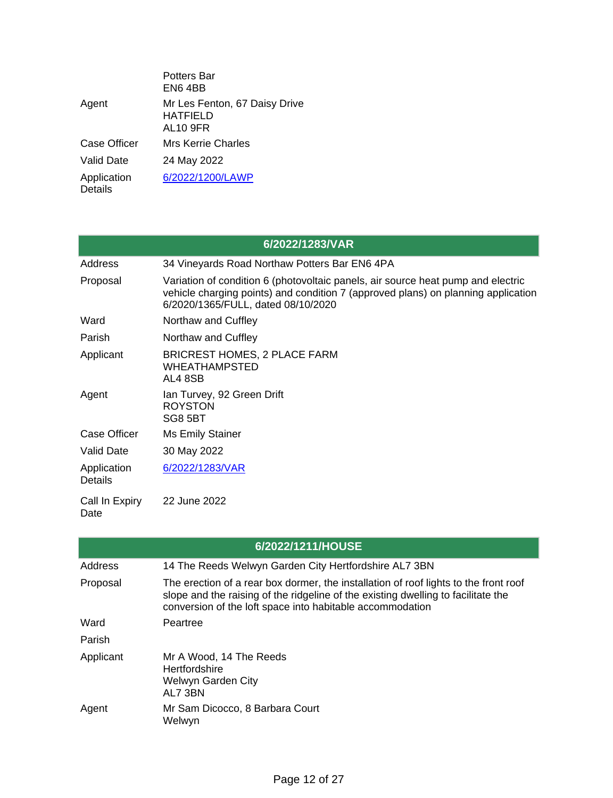|                               | Potters Bar<br>EN64BB                                        |
|-------------------------------|--------------------------------------------------------------|
| Agent                         | Mr Les Fenton, 67 Daisy Drive<br><b>HATFIELD</b><br>AL10 9FR |
| Case Officer                  | Mrs Kerrie Charles                                           |
| Valid Date                    | 24 May 2022                                                  |
| Application<br><b>Details</b> | 6/2022/1200/LAWP                                             |

| 6/2022/1283/VAR               |                                                                                                                                                                                                             |  |
|-------------------------------|-------------------------------------------------------------------------------------------------------------------------------------------------------------------------------------------------------------|--|
| Address                       | 34 Vineyards Road Northaw Potters Bar EN6 4PA                                                                                                                                                               |  |
| Proposal                      | Variation of condition 6 (photovoltaic panels, air source heat pump and electric<br>vehicle charging points) and condition 7 (approved plans) on planning application<br>6/2020/1365/FULL, dated 08/10/2020 |  |
| Ward                          | Northaw and Cuffley                                                                                                                                                                                         |  |
| Parish                        | Northaw and Cuffley                                                                                                                                                                                         |  |
| Applicant                     | <b>BRICREST HOMES, 2 PLACE FARM</b><br><b>WHEATHAMPSTED</b><br>AL4 8SB                                                                                                                                      |  |
| Agent                         | Ian Turvey, 92 Green Drift<br><b>ROYSTON</b><br>SG8 5BT                                                                                                                                                     |  |
| <b>Case Officer</b>           | Ms Emily Stainer                                                                                                                                                                                            |  |
| Valid Date                    | 30 May 2022                                                                                                                                                                                                 |  |
| Application<br><b>Details</b> | 6/2022/1283/VAR                                                                                                                                                                                             |  |
| Call In Expiry<br>Date        | 22 June 2022                                                                                                                                                                                                |  |

|                | 6/2022/1211/HOUSE                                                                                                                                                                                                                      |
|----------------|----------------------------------------------------------------------------------------------------------------------------------------------------------------------------------------------------------------------------------------|
| <b>Address</b> | 14 The Reeds Welwyn Garden City Hertfordshire AL7 3BN                                                                                                                                                                                  |
| Proposal       | The erection of a rear box dormer, the installation of roof lights to the front roof<br>slope and the raising of the ridgeline of the existing dwelling to facilitate the<br>conversion of the loft space into habitable accommodation |
| Ward           | Peartree                                                                                                                                                                                                                               |
| Parish         |                                                                                                                                                                                                                                        |
| Applicant      | Mr A Wood, 14 The Reeds<br><b>Hertfordshire</b><br>Welwyn Garden City<br>AL7 3BN                                                                                                                                                       |
| Agent          | Mr Sam Dicocco, 8 Barbara Court<br>Welwyn                                                                                                                                                                                              |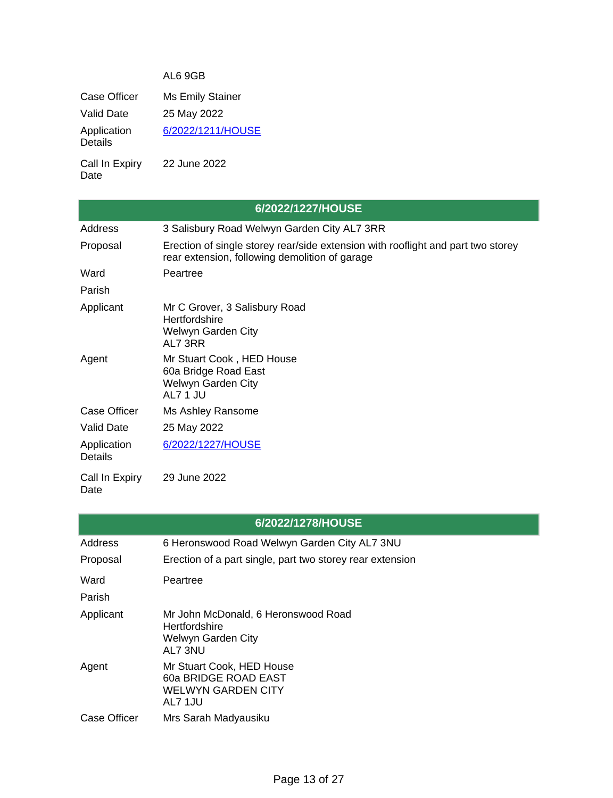### AL6 9GB

Case Officer Ms Emily Stainer Valid Date 25 May 2022 **Application** Details [6/2022/1211/HOUSE](https://planning.welhat.gov.uk/planning/display/6/2022/1211/HOUSE) Call In Expiry Date 22 June 2022

|                               | 6/2022/1227/HOUSE                                                                                                                  |
|-------------------------------|------------------------------------------------------------------------------------------------------------------------------------|
| <b>Address</b>                | 3 Salisbury Road Welwyn Garden City AL7 3RR                                                                                        |
| Proposal                      | Erection of single storey rear/side extension with rooflight and part two storey<br>rear extension, following demolition of garage |
| Ward                          | Peartree                                                                                                                           |
| Parish                        |                                                                                                                                    |
| Applicant                     | Mr C Grover, 3 Salisbury Road<br>Hertfordshire<br>Welwyn Garden City<br>AL7 3RR                                                    |
| Agent                         | Mr Stuart Cook, HED House<br>60a Bridge Road East<br>Welwyn Garden City<br>AL7 1 JU                                                |
| Case Officer                  | Ms Ashley Ransome                                                                                                                  |
| <b>Valid Date</b>             | 25 May 2022                                                                                                                        |
| Application<br><b>Details</b> | 6/2022/1227/HOUSE                                                                                                                  |
| Call In Expiry<br>Date        | 29 June 2022                                                                                                                       |

| 6/2022/1278/HOUSE   |                                                                                              |  |
|---------------------|----------------------------------------------------------------------------------------------|--|
| Address             | 6 Heronswood Road Welwyn Garden City AL7 3NU                                                 |  |
| Proposal            | Erection of a part single, part two storey rear extension                                    |  |
| Ward                | Peartree                                                                                     |  |
| Parish              |                                                                                              |  |
| Applicant           | Mr John McDonald, 6 Heronswood Road<br><b>Hertfordshire</b><br>Welwyn Garden City<br>AL7 3NU |  |
| Agent               | Mr Stuart Cook, HED House<br>60a BRIDGE ROAD EAST<br><b>WELWYN GARDEN CITY</b><br>AL7 1JU    |  |
| <b>Case Officer</b> | Mrs Sarah Madyausiku                                                                         |  |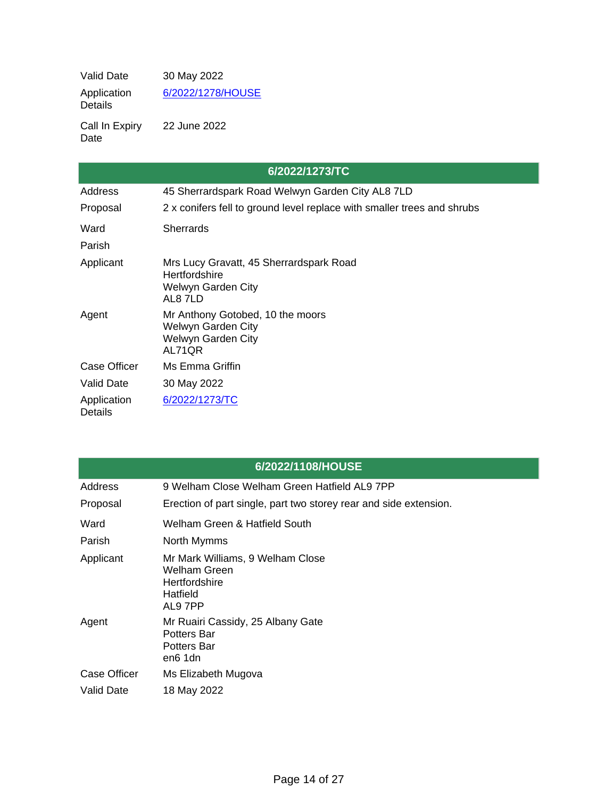Valid Date 30 May 2022 Application Details [6/2022/1278/HOUSE](https://planning.welhat.gov.uk/planning/display/6/2022/1278/HOUSE)

Call In Expiry Date 22 June 2022

| 6/2022/1273/TC                |                                                                                          |  |
|-------------------------------|------------------------------------------------------------------------------------------|--|
| Address                       | 45 Sherrardspark Road Welwyn Garden City AL8 7LD                                         |  |
| Proposal                      | 2 x conifers fell to ground level replace with smaller trees and shrubs                  |  |
| Ward                          | <b>Sherrards</b>                                                                         |  |
| Parish                        |                                                                                          |  |
| Applicant                     | Mrs Lucy Gravatt, 45 Sherrardspark Road<br>Hertfordshire<br>Welwyn Garden City<br>AL87LD |  |
| Agent                         | Mr Anthony Gotobed, 10 the moors<br>Welwyn Garden City<br>Welwyn Garden City<br>AL71QR   |  |
| Case Officer                  | Ms Emma Griffin                                                                          |  |
| <b>Valid Date</b>             | 30 May 2022                                                                              |  |
| Application<br><b>Details</b> | 6/2022/1273/TC                                                                           |  |

| 6/2022/1108/HOUSE |                                                                                          |  |
|-------------------|------------------------------------------------------------------------------------------|--|
| Address           | 9 Welham Close Welham Green Hatfield AL9 7PP                                             |  |
| Proposal          | Erection of part single, part two storey rear and side extension.                        |  |
| Ward              | Welham Green & Hatfield South                                                            |  |
| Parish            | North Mymms                                                                              |  |
| Applicant         | Mr Mark Williams, 9 Welham Close<br>Welham Green<br>Hertfordshire<br>Hatfield<br>AL9 7PP |  |
| Agent             | Mr Ruairi Cassidy, 25 Albany Gate<br>Potters Bar<br>Potters Bar<br>en6 1dn               |  |
| Case Officer      | Ms Elizabeth Mugova                                                                      |  |
| Valid Date        | 18 May 2022                                                                              |  |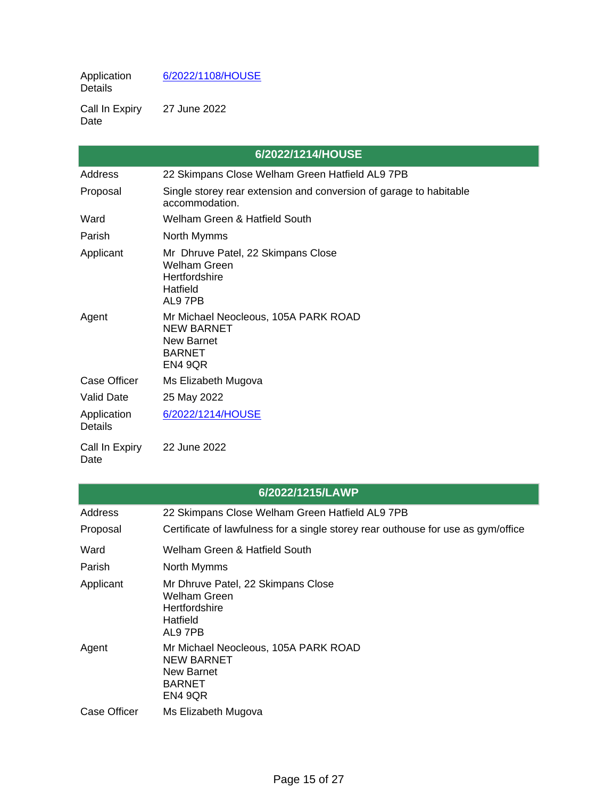Application Details [6/2022/1108/HOUSE](https://planning.welhat.gov.uk/planning/display/6/2022/1108/HOUSE)

Call In Expiry Date 27 June 2022

|                        | 6/2022/1214/HOUSE                                                                                   |
|------------------------|-----------------------------------------------------------------------------------------------------|
| Address                | 22 Skimpans Close Welham Green Hatfield AL9 7PB                                                     |
| Proposal               | Single storey rear extension and conversion of garage to habitable<br>accommodation.                |
| Ward                   | Welham Green & Hatfield South                                                                       |
| Parish                 | North Mymms                                                                                         |
| Applicant              | Mr Dhruve Patel, 22 Skimpans Close<br><b>Welham Green</b><br>Hertfordshire<br>Hatfield<br>AL9 7PB   |
| Agent                  | Mr Michael Neocleous, 105A PARK ROAD<br><b>NEW BARNET</b><br>New Barnet<br><b>BARNET</b><br>EN4 9QR |
| Case Officer           | Ms Elizabeth Mugova                                                                                 |
| <b>Valid Date</b>      | 25 May 2022                                                                                         |
| Application<br>Details | 6/2022/1214/HOUSE                                                                                   |
| Call In Expiry<br>Date | 22 June 2022                                                                                        |

|              | 6/2022/1215/LAWP                                                                                           |
|--------------|------------------------------------------------------------------------------------------------------------|
| Address      | 22 Skimpans Close Welham Green Hatfield AL9 7PB                                                            |
| Proposal     | Certificate of lawfulness for a single storey rear outhouse for use as gym/office                          |
| Ward         | Welham Green & Hatfield South                                                                              |
| Parish       | North Mymms                                                                                                |
| Applicant    | Mr Dhruve Patel, 22 Skimpans Close<br>Welham Green<br><b>Hertfordshire</b><br>Hatfield<br>AL9 7PB          |
| Agent        | Mr Michael Neocleous, 105A PARK ROAD<br><b>NEW BARNET</b><br><b>New Barnet</b><br><b>BARNET</b><br>EN4 9QR |
| Case Officer | Ms Elizabeth Mugova                                                                                        |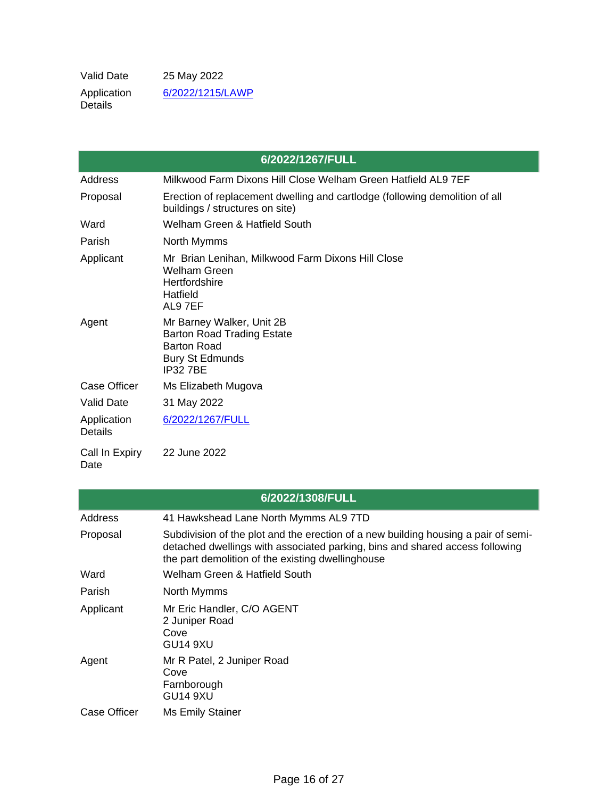Valid Date 25 May 2022 Application Details [6/2022/1215/LAWP](https://planning.welhat.gov.uk/planning/display/6/2022/1215/LAWP)

|                        | 6/2022/1267/FULL                                                                                                                 |
|------------------------|----------------------------------------------------------------------------------------------------------------------------------|
| Address                | Milkwood Farm Dixons Hill Close Welham Green Hatfield AL9 7EF                                                                    |
| Proposal               | Erection of replacement dwelling and cartlodge (following demolition of all<br>buildings / structures on site)                   |
| Ward                   | Welham Green & Hatfield South                                                                                                    |
| Parish                 | North Mymms                                                                                                                      |
| Applicant              | Mr Brian Lenihan, Milkwood Farm Dixons Hill Close<br><b>Welham Green</b><br>Hertfordshire<br>Hatfield<br>AL9 7EF                 |
| Agent                  | Mr Barney Walker, Unit 2B<br><b>Barton Road Trading Estate</b><br><b>Barton Road</b><br><b>Bury St Edmunds</b><br><b>IP327BE</b> |
| <b>Case Officer</b>    | Ms Elizabeth Mugova                                                                                                              |
| <b>Valid Date</b>      | 31 May 2022                                                                                                                      |
| Application<br>Details | 6/2022/1267/FULL                                                                                                                 |
| Call In Expiry<br>Date | 22 June 2022                                                                                                                     |

# **6/2022/1308/FULL**

| Address             | 41 Hawkshead Lane North Mymms AL9 7TD                                                                                                                                                                                   |
|---------------------|-------------------------------------------------------------------------------------------------------------------------------------------------------------------------------------------------------------------------|
| Proposal            | Subdivision of the plot and the erection of a new building housing a pair of semi-<br>detached dwellings with associated parking, bins and shared access following<br>the part demolition of the existing dwellinghouse |
| Ward                | Welham Green & Hatfield South                                                                                                                                                                                           |
| Parish              | North Mymms                                                                                                                                                                                                             |
| Applicant           | Mr Eric Handler, C/O AGENT<br>2 Juniper Road<br>Cove<br>GU <sub>14</sub> 9XU                                                                                                                                            |
| Agent               | Mr R Patel, 2 Juniper Road<br>Cove<br>Farnborough<br><b>GU14 9XU</b>                                                                                                                                                    |
| <b>Case Officer</b> | Ms Emily Stainer                                                                                                                                                                                                        |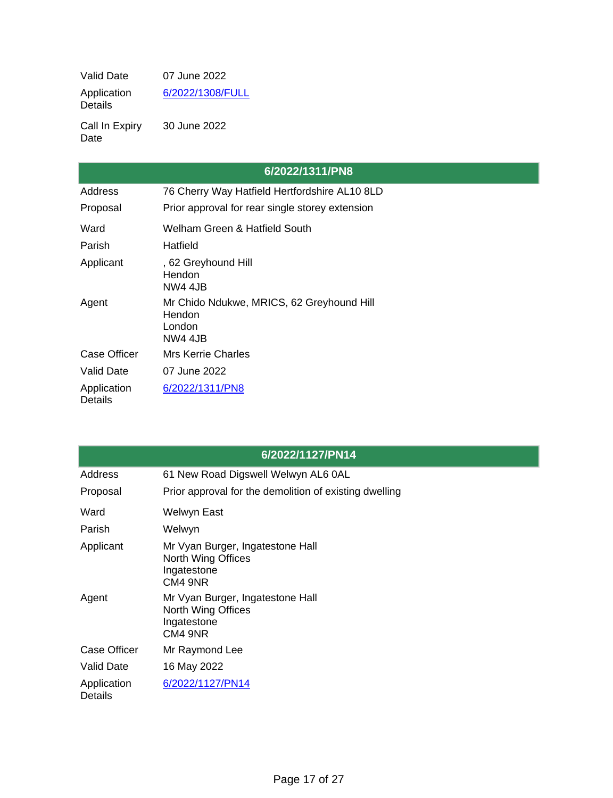Valid Date 07 June 2022 Application Details [6/2022/1308/FULL](https://planning.welhat.gov.uk/planning/display/6/2022/1308/FULL)

Call In Expiry Date 30 June 2022

|                               | 6/2022/1311/PN8                                                           |
|-------------------------------|---------------------------------------------------------------------------|
| Address                       | 76 Cherry Way Hatfield Hertfordshire AL10 8LD                             |
| Proposal                      | Prior approval for rear single storey extension                           |
| Ward                          | Welham Green & Hatfield South                                             |
| Parish                        | Hatfield                                                                  |
| Applicant                     | , 62 Greyhound Hill<br>Hendon<br><b>NW4 4.JB</b>                          |
| Agent                         | Mr Chido Ndukwe, MRICS, 62 Greyhound Hill<br>Hendon<br>London<br>NW4 4.JB |
| Case Officer                  | Mrs Kerrie Charles                                                        |
| Valid Date                    | 07 June 2022                                                              |
| Application<br><b>Details</b> | 6/2022/1311/PN8                                                           |

|                        | 6/2022/1127/PN14                                                                 |
|------------------------|----------------------------------------------------------------------------------|
| Address                | 61 New Road Digswell Welwyn AL6 0AL                                              |
| Proposal               | Prior approval for the demolition of existing dwelling                           |
| Ward                   | Welwyn East                                                                      |
| Parish                 | Welwyn                                                                           |
| Applicant              | Mr Vyan Burger, Ingatestone Hall<br>North Wing Offices<br>Ingatestone<br>CM4 9NR |
| Agent                  | Mr Vyan Burger, Ingatestone Hall<br>North Wing Offices<br>Ingatestone<br>CM4 9NR |
| <b>Case Officer</b>    | Mr Raymond Lee                                                                   |
| Valid Date             | 16 May 2022                                                                      |
| Application<br>Details | 6/2022/1127/PN14                                                                 |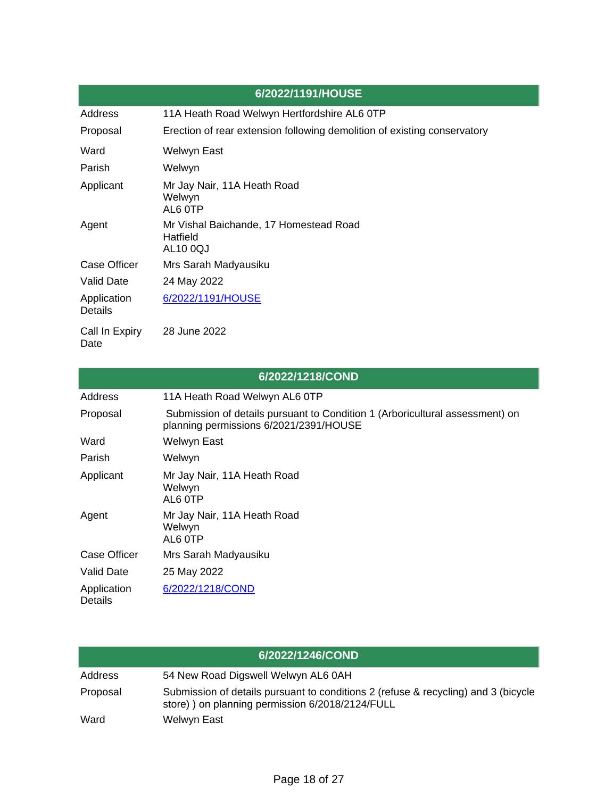|                               | 6/2022/1191/HOUSE                                                        |
|-------------------------------|--------------------------------------------------------------------------|
| Address                       | 11A Heath Road Welwyn Hertfordshire AL6 OTP                              |
| Proposal                      | Erection of rear extension following demolition of existing conservatory |
| Ward                          | Welwyn East                                                              |
| Parish                        | Welwyn                                                                   |
| Applicant                     | Mr Jay Nair, 11A Heath Road<br>Welwyn<br>AL6 OTP                         |
| Agent                         | Mr Vishal Baichande, 17 Homestead Road<br>Hatfield<br><b>AL10 0QJ</b>    |
| Case Officer                  | Mrs Sarah Madyausiku                                                     |
| <b>Valid Date</b>             | 24 May 2022                                                              |
| Application<br><b>Details</b> | 6/2022/1191/HOUSE                                                        |
| Call In Expiry<br>Date        | 28 June 2022                                                             |

|                        | 6/2022/1218/COND                                                                                                       |
|------------------------|------------------------------------------------------------------------------------------------------------------------|
| Address                | 11A Heath Road Welwyn AL6 OTP                                                                                          |
| Proposal               | Submission of details pursuant to Condition 1 (Arboricultural assessment) on<br>planning permissions 6/2021/2391/HOUSE |
| Ward                   | Welwyn East                                                                                                            |
| Parish                 | Welwyn                                                                                                                 |
| Applicant              | Mr Jay Nair, 11A Heath Road<br>Welwyn<br>AL6 OTP                                                                       |
| Agent                  | Mr Jay Nair, 11A Heath Road<br>Welwyn<br>AL6 OTP                                                                       |
| Case Officer           | Mrs Sarah Madyausiku                                                                                                   |
| <b>Valid Date</b>      | 25 May 2022                                                                                                            |
| Application<br>Details | 6/2022/1218/COND                                                                                                       |

|          | 6/2022/1246/COND                                                                                                                       |
|----------|----------------------------------------------------------------------------------------------------------------------------------------|
| Address  | 54 New Road Digswell Welwyn AL6 0AH                                                                                                    |
| Proposal | Submission of details pursuant to conditions 2 (refuse & recycling) and 3 (bicycle<br>store) ) on planning permission 6/2018/2124/FULL |
| Ward     | Welwyn East                                                                                                                            |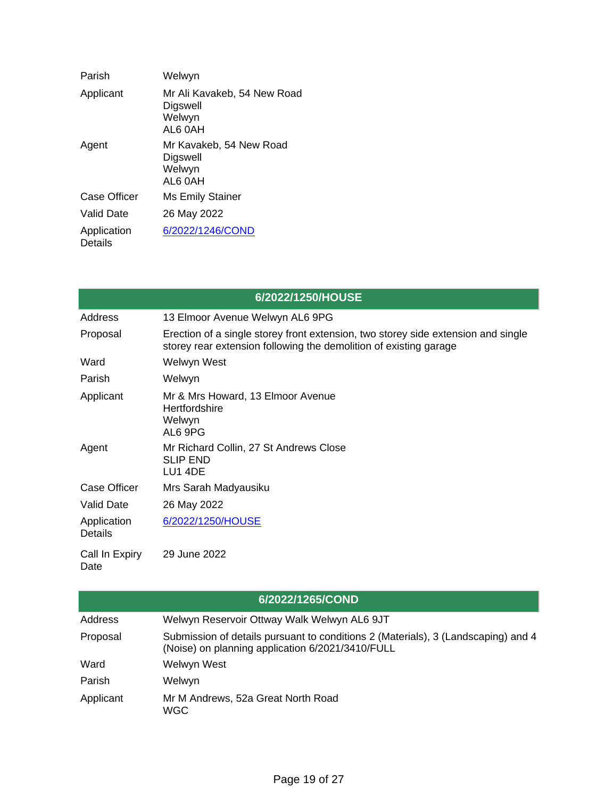| Parish                        | Welwyn                                                       |
|-------------------------------|--------------------------------------------------------------|
| Applicant                     | Mr Ali Kavakeb, 54 New Road<br>Digswell<br>Welwyn<br>AL6 0AH |
| Agent                         | Mr Kavakeb, 54 New Road<br>Digswell<br>Welwyn<br>AL6 0AH     |
| <b>Case Officer</b>           | Ms Emily Stainer                                             |
| Valid Date                    | 26 May 2022                                                  |
| Application<br><b>Details</b> | 6/2022/1246/COND                                             |

|                               | 6/2022/1250/HOUSE                                                                                                                                      |
|-------------------------------|--------------------------------------------------------------------------------------------------------------------------------------------------------|
| Address                       | 13 Elmoor Avenue Welwyn AL6 9PG                                                                                                                        |
| Proposal                      | Erection of a single storey front extension, two storey side extension and single<br>storey rear extension following the demolition of existing garage |
| Ward                          | Welwyn West                                                                                                                                            |
| Parish                        | Welwyn                                                                                                                                                 |
| Applicant                     | Mr & Mrs Howard, 13 Elmoor Avenue<br>Hertfordshire<br>Welwyn<br>AL6 9PG                                                                                |
| Agent                         | Mr Richard Collin, 27 St Andrews Close<br><b>SLIP END</b><br>LU1 4DE                                                                                   |
| Case Officer                  | Mrs Sarah Madyausiku                                                                                                                                   |
| <b>Valid Date</b>             | 26 May 2022                                                                                                                                            |
| Application<br><b>Details</b> | 6/2022/1250/HOUSE                                                                                                                                      |
| Call In Expiry<br>Date        | 29 June 2022                                                                                                                                           |

| 6/2022/1265/COND |                                                                                                                                       |  |
|------------------|---------------------------------------------------------------------------------------------------------------------------------------|--|
| Address          | Welwyn Reservoir Ottway Walk Welwyn AL6 9JT                                                                                           |  |
| Proposal         | Submission of details pursuant to conditions 2 (Materials), 3 (Landscaping) and 4<br>(Noise) on planning application 6/2021/3410/FULL |  |
| Ward             | Welwyn West                                                                                                                           |  |
| Parish           | Welwyn                                                                                                                                |  |
| Applicant        | Mr M Andrews, 52a Great North Road<br><b>WGC</b>                                                                                      |  |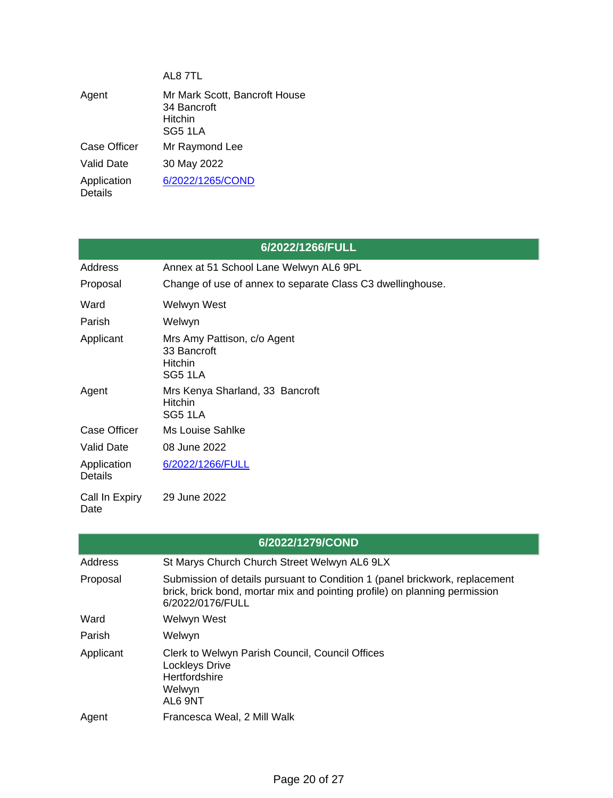|                               | AL8 7TL                                                            |
|-------------------------------|--------------------------------------------------------------------|
| Agent                         | Mr Mark Scott, Bancroft House<br>34 Bancroft<br>Hitchin<br>SG5 1LA |
| Case Officer                  | Mr Raymond Lee                                                     |
| Valid Date                    | 30 May 2022                                                        |
| Application<br><b>Details</b> | 6/2022/1265/COND                                                   |

| 6/2022/1266/FULL              |                                                                         |
|-------------------------------|-------------------------------------------------------------------------|
| Address                       | Annex at 51 School Lane Welwyn AL6 9PL                                  |
| Proposal                      | Change of use of annex to separate Class C3 dwellinghouse.              |
| Ward                          | Welwyn West                                                             |
| Parish                        | Welwyn                                                                  |
| Applicant                     | Mrs Amy Pattison, c/o Agent<br>33 Bancroft<br><b>Hitchin</b><br>SG5 1LA |
| Agent                         | Mrs Kenya Sharland, 33 Bancroft<br><b>Hitchin</b><br>SG5 1LA            |
| Case Officer                  | Ms Louise Sahlke                                                        |
| <b>Valid Date</b>             | 08 June 2022                                                            |
| Application<br><b>Details</b> | 6/2022/1266/FULL                                                        |
| Call In Expiry<br>Date        | 29 June 2022                                                            |

| 6/2022/1279/COND |                                                                                                                                                                               |
|------------------|-------------------------------------------------------------------------------------------------------------------------------------------------------------------------------|
| Address          | St Marys Church Church Street Welwyn AL6 9LX                                                                                                                                  |
| Proposal         | Submission of details pursuant to Condition 1 (panel brickwork, replacement<br>brick, brick bond, mortar mix and pointing profile) on planning permission<br>6/2022/0176/FULL |
| Ward             | Welwyn West                                                                                                                                                                   |
| Parish           | Welwyn                                                                                                                                                                        |
| Applicant        | Clerk to Welwyn Parish Council, Council Offices<br><b>Lockleys Drive</b><br>Hertfordshire<br>Welwyn<br>AL6 9NT                                                                |
| Agent            | Francesca Weal, 2 Mill Walk                                                                                                                                                   |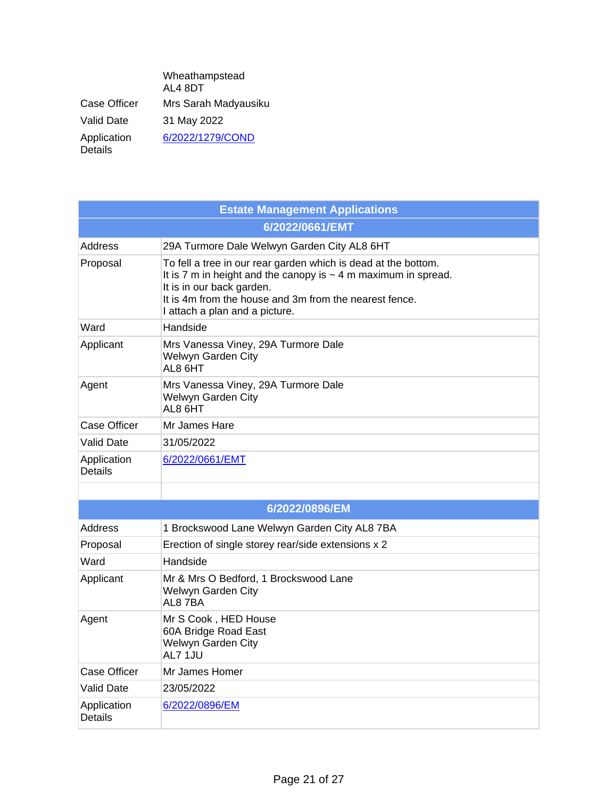|                               | Wheathampstead<br>AL4 8DT |
|-------------------------------|---------------------------|
| Case Officer                  | Mrs Sarah Madyausiku      |
| Valid Date                    | 31 May 2022               |
| Application<br><b>Details</b> | 6/2022/1279/COND          |

| <b>Estate Management Applications</b> |                                                                                                                                                                                                                                                                |
|---------------------------------------|----------------------------------------------------------------------------------------------------------------------------------------------------------------------------------------------------------------------------------------------------------------|
| 6/2022/0661/EMT                       |                                                                                                                                                                                                                                                                |
| Address                               | 29A Turmore Dale Welwyn Garden City AL8 6HT                                                                                                                                                                                                                    |
| Proposal                              | To fell a tree in our rear garden which is dead at the bottom.<br>It is 7 m in height and the canopy is $\sim$ 4 m maximum in spread.<br>It is in our back garden.<br>It is 4m from the house and 3m from the nearest fence.<br>I attach a plan and a picture. |
| Ward                                  | Handside                                                                                                                                                                                                                                                       |
| Applicant                             | Mrs Vanessa Viney, 29A Turmore Dale<br>Welwyn Garden City<br>AL8 6HT                                                                                                                                                                                           |
| Agent                                 | Mrs Vanessa Viney, 29A Turmore Dale<br>Welwyn Garden City<br>AL8 6HT                                                                                                                                                                                           |
| <b>Case Officer</b>                   | Mr James Hare                                                                                                                                                                                                                                                  |
| <b>Valid Date</b>                     | 31/05/2022                                                                                                                                                                                                                                                     |
| Application<br><b>Details</b>         | 6/2022/0661/EMT                                                                                                                                                                                                                                                |
|                                       |                                                                                                                                                                                                                                                                |
|                                       | 6/2022/0896/EM                                                                                                                                                                                                                                                 |
| Address                               | 1 Brockswood Lane Welwyn Garden City AL8 7BA                                                                                                                                                                                                                   |
| Proposal                              | Erection of single storey rear/side extensions x 2                                                                                                                                                                                                             |
| Ward                                  | Handside                                                                                                                                                                                                                                                       |
| Applicant                             | Mr & Mrs O Bedford, 1 Brockswood Lane<br>Welwyn Garden City<br>AL87BA                                                                                                                                                                                          |
| Agent                                 | Mr S Cook, HED House<br>60A Bridge Road East<br>Welwyn Garden City<br>AL7 1JU                                                                                                                                                                                  |
| <b>Case Officer</b>                   | Mr James Homer                                                                                                                                                                                                                                                 |
| <b>Valid Date</b>                     | 23/05/2022                                                                                                                                                                                                                                                     |
| Application<br><b>Details</b>         | 6/2022/0896/EM                                                                                                                                                                                                                                                 |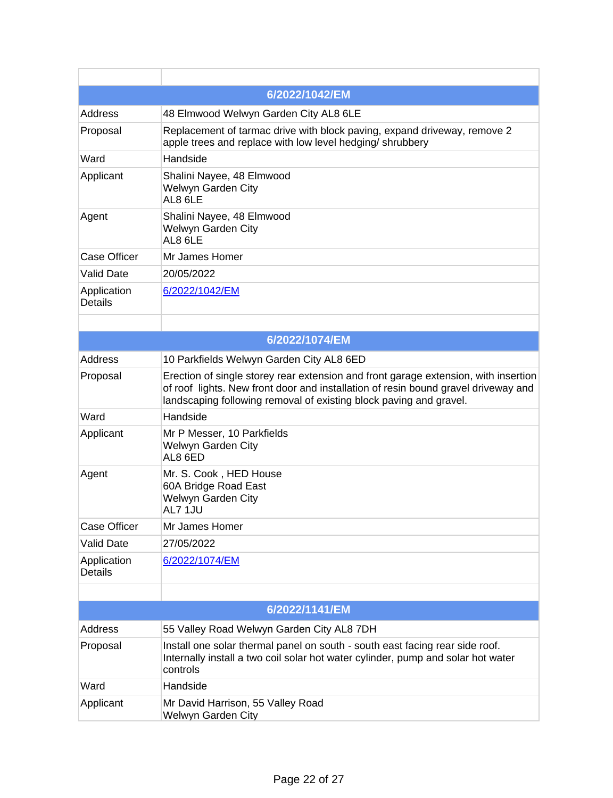|                               | 6/2022/1042/EM                                                                                                                                                                                                                                  |
|-------------------------------|-------------------------------------------------------------------------------------------------------------------------------------------------------------------------------------------------------------------------------------------------|
| <b>Address</b>                | 48 Elmwood Welwyn Garden City AL8 6LE                                                                                                                                                                                                           |
| Proposal                      | Replacement of tarmac drive with block paving, expand driveway, remove 2<br>apple trees and replace with low level hedging/ shrubbery                                                                                                           |
| Ward                          | Handside                                                                                                                                                                                                                                        |
| Applicant                     | Shalini Nayee, 48 Elmwood<br>Welwyn Garden City<br>AL8 6LE                                                                                                                                                                                      |
| Agent                         | Shalini Nayee, 48 Elmwood<br>Welwyn Garden City<br>AL8 6LE                                                                                                                                                                                      |
| <b>Case Officer</b>           | Mr James Homer                                                                                                                                                                                                                                  |
| <b>Valid Date</b>             | 20/05/2022                                                                                                                                                                                                                                      |
| Application<br><b>Details</b> | 6/2022/1042/EM                                                                                                                                                                                                                                  |
|                               |                                                                                                                                                                                                                                                 |
|                               | 6/2022/1074/EM                                                                                                                                                                                                                                  |
| <b>Address</b>                | 10 Parkfields Welwyn Garden City AL8 6ED                                                                                                                                                                                                        |
| Proposal                      | Erection of single storey rear extension and front garage extension, with insertion<br>of roof lights. New front door and installation of resin bound gravel driveway and<br>landscaping following removal of existing block paving and gravel. |
| Ward                          | Handside                                                                                                                                                                                                                                        |
| Applicant                     | Mr P Messer, 10 Parkfields<br>Welwyn Garden City<br>AL8 6ED                                                                                                                                                                                     |
| Agent                         | Mr. S. Cook, HED House<br>60A Bridge Road East<br>Welwyn Garden City<br>AL7 1JU                                                                                                                                                                 |
| <b>Case Officer</b>           | Mr James Homer                                                                                                                                                                                                                                  |
| <b>Valid Date</b>             | 27/05/2022                                                                                                                                                                                                                                      |
| Application<br><b>Details</b> | 6/2022/1074/EM                                                                                                                                                                                                                                  |
|                               |                                                                                                                                                                                                                                                 |
|                               | 6/2022/1141/EM                                                                                                                                                                                                                                  |
| <b>Address</b>                | 55 Valley Road Welwyn Garden City AL8 7DH                                                                                                                                                                                                       |
| Proposal                      | Install one solar thermal panel on south - south east facing rear side roof.<br>Internally install a two coil solar hot water cylinder, pump and solar hot water<br>controls                                                                    |
| Ward                          | Handside                                                                                                                                                                                                                                        |
| Applicant                     | Mr David Harrison, 55 Valley Road<br>Welwyn Garden City                                                                                                                                                                                         |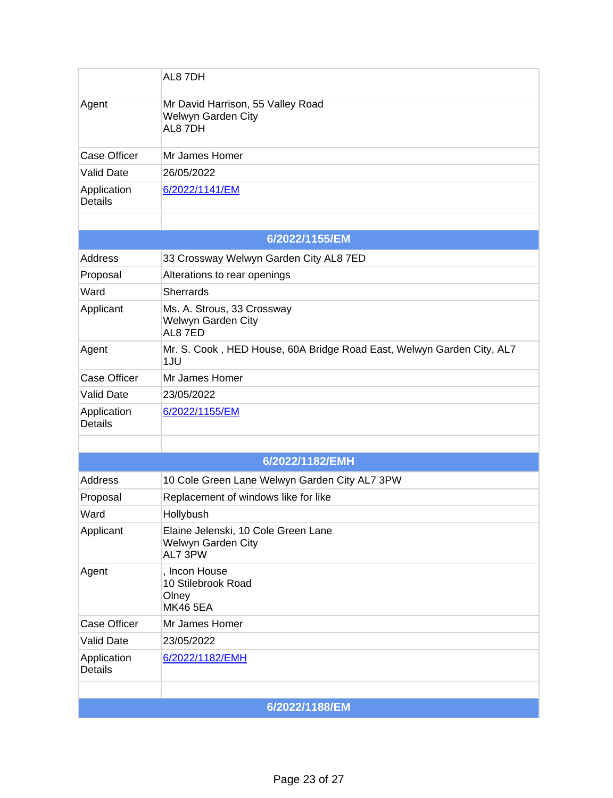|                               | AL8 7DH                                                                      |  |
|-------------------------------|------------------------------------------------------------------------------|--|
| Agent                         | Mr David Harrison, 55 Valley Road<br>Welwyn Garden City<br>AL8 7DH           |  |
| <b>Case Officer</b>           | Mr James Homer                                                               |  |
| <b>Valid Date</b>             | 26/05/2022                                                                   |  |
| Application<br><b>Details</b> | 6/2022/1141/EM                                                               |  |
|                               | 6/2022/1155/EM                                                               |  |
| <b>Address</b>                | 33 Crossway Welwyn Garden City AL8 7ED                                       |  |
| Proposal                      | Alterations to rear openings                                                 |  |
| Ward                          | <b>Sherrards</b>                                                             |  |
| Applicant                     | Ms. A. Strous, 33 Crossway<br>Welwyn Garden City<br>AL87ED                   |  |
| Agent                         | Mr. S. Cook, HED House, 60A Bridge Road East, Welwyn Garden City, AL7<br>1JU |  |
| <b>Case Officer</b>           | Mr James Homer                                                               |  |
| <b>Valid Date</b>             | 23/05/2022                                                                   |  |
| Application<br><b>Details</b> | 6/2022/1155/EM                                                               |  |
|                               |                                                                              |  |
|                               | 6/2022/1182/EMH                                                              |  |
| <b>Address</b>                | 10 Cole Green Lane Welwyn Garden City AL7 3PW                                |  |
| Proposal                      | Replacement of windows like for like                                         |  |
| Ward                          | Hollybush                                                                    |  |
| Applicant                     | Elaine Jelenski, 10 Cole Green Lane<br>Welwyn Garden City<br>AL7 3PW         |  |
| Agent                         | , Incon House<br>10 Stilebrook Road<br>Olney<br><b>MK46 5EA</b>              |  |
| <b>Case Officer</b>           | Mr James Homer                                                               |  |
| <b>Valid Date</b>             | 23/05/2022                                                                   |  |
| Application<br><b>Details</b> | 6/2022/1182/EMH                                                              |  |
|                               |                                                                              |  |
|                               | 6/2022/1188/EM                                                               |  |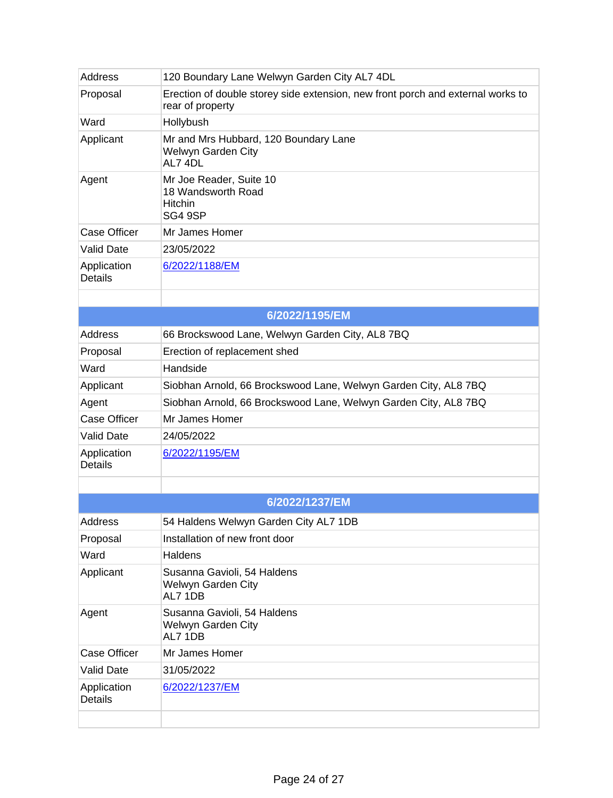| <b>Address</b>                | 120 Boundary Lane Welwyn Garden City AL7 4DL                                                        |
|-------------------------------|-----------------------------------------------------------------------------------------------------|
| Proposal                      | Erection of double storey side extension, new front porch and external works to<br>rear of property |
| Ward                          | Hollybush                                                                                           |
| Applicant                     | Mr and Mrs Hubbard, 120 Boundary Lane<br>Welwyn Garden City<br>AL7 4DL                              |
| Agent                         | Mr Joe Reader, Suite 10<br>18 Wandsworth Road<br><b>Hitchin</b><br>SG4 9SP                          |
| <b>Case Officer</b>           | Mr James Homer                                                                                      |
| <b>Valid Date</b>             | 23/05/2022                                                                                          |
| Application<br><b>Details</b> | 6/2022/1188/EM                                                                                      |
|                               |                                                                                                     |
|                               | 6/2022/1195/EM                                                                                      |
| <b>Address</b>                | 66 Brockswood Lane, Welwyn Garden City, AL8 7BQ                                                     |
| Proposal                      | Erection of replacement shed                                                                        |
| Ward                          | Handside                                                                                            |
| Applicant                     | Siobhan Arnold, 66 Brockswood Lane, Welwyn Garden City, AL8 7BQ                                     |
| Agent                         | Siobhan Arnold, 66 Brockswood Lane, Welwyn Garden City, AL8 7BQ                                     |
| <b>Case Officer</b>           | Mr James Homer                                                                                      |
| <b>Valid Date</b>             | 24/05/2022                                                                                          |
| Application<br><b>Details</b> | 6/2022/1195/EM                                                                                      |
|                               |                                                                                                     |
|                               | 6/2022/1237/EM                                                                                      |
| <b>Address</b>                | 54 Haldens Welwyn Garden City AL7 1DB                                                               |
| Proposal                      | Installation of new front door                                                                      |
| Ward                          | <b>Haldens</b>                                                                                      |
| Applicant                     | Susanna Gavioli, 54 Haldens<br>Welwyn Garden City<br>AL7 1DB                                        |
| Agent                         | Susanna Gavioli, 54 Haldens<br>Welwyn Garden City<br>AL7 1DB                                        |
| <b>Case Officer</b>           | Mr James Homer                                                                                      |
| <b>Valid Date</b>             | 31/05/2022                                                                                          |
| Application<br><b>Details</b> | 6/2022/1237/EM                                                                                      |
|                               |                                                                                                     |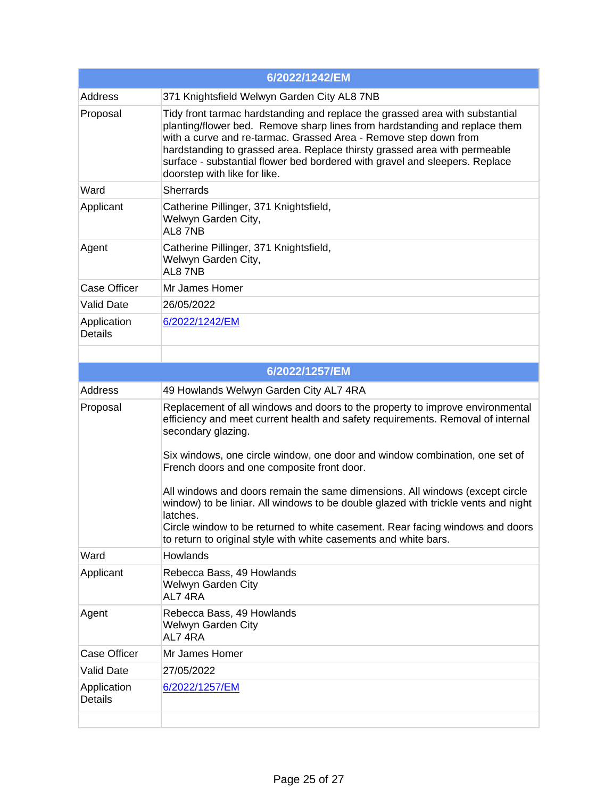| 6/2022/1242/EM                |                                                                                                                                                                                                                                                                                                                                                                                                                            |
|-------------------------------|----------------------------------------------------------------------------------------------------------------------------------------------------------------------------------------------------------------------------------------------------------------------------------------------------------------------------------------------------------------------------------------------------------------------------|
| Address                       | 371 Knightsfield Welwyn Garden City AL8 7NB                                                                                                                                                                                                                                                                                                                                                                                |
| Proposal                      | Tidy front tarmac hardstanding and replace the grassed area with substantial<br>planting/flower bed. Remove sharp lines from hardstanding and replace them<br>with a curve and re-tarmac. Grassed Area - Remove step down from<br>hardstanding to grassed area. Replace thirsty grassed area with permeable<br>surface - substantial flower bed bordered with gravel and sleepers. Replace<br>doorstep with like for like. |
| Ward                          | <b>Sherrards</b>                                                                                                                                                                                                                                                                                                                                                                                                           |
| Applicant                     | Catherine Pillinger, 371 Knightsfield,<br>Welwyn Garden City,<br>AL87NB                                                                                                                                                                                                                                                                                                                                                    |
| Agent                         | Catherine Pillinger, 371 Knightsfield,<br>Welwyn Garden City,<br>AL87NB                                                                                                                                                                                                                                                                                                                                                    |
| <b>Case Officer</b>           | Mr James Homer                                                                                                                                                                                                                                                                                                                                                                                                             |
| <b>Valid Date</b>             | 26/05/2022                                                                                                                                                                                                                                                                                                                                                                                                                 |
| Application<br><b>Details</b> | 6/2022/1242/EM                                                                                                                                                                                                                                                                                                                                                                                                             |
|                               |                                                                                                                                                                                                                                                                                                                                                                                                                            |
|                               | 6/2022/1257/EM                                                                                                                                                                                                                                                                                                                                                                                                             |
| <b>Address</b>                | 49 Howlands Welwyn Garden City AL7 4RA                                                                                                                                                                                                                                                                                                                                                                                     |
| Proposal                      | Replacement of all windows and doors to the property to improve environmental<br>efficiency and meet current health and safety requirements. Removal of internal<br>secondary glazing.                                                                                                                                                                                                                                     |
|                               | Six windows, one circle window, one door and window combination, one set of<br>French doors and one composite front door.                                                                                                                                                                                                                                                                                                  |
|                               | All windows and doors remain the same dimensions. All windows (except circle<br>window) to be liniar. All windows to be double glazed with trickle vents and night<br>latches.<br>Circle window to be returned to white casement. Rear facing windows and doors                                                                                                                                                            |
|                               | to return to original style with white casements and white bars.                                                                                                                                                                                                                                                                                                                                                           |
| Ward                          | Howlands                                                                                                                                                                                                                                                                                                                                                                                                                   |
| Applicant                     | Rebecca Bass, 49 Howlands<br>Welwyn Garden City<br>AL74RA                                                                                                                                                                                                                                                                                                                                                                  |
| Agent                         | Rebecca Bass, 49 Howlands<br>Welwyn Garden City<br>AL74RA                                                                                                                                                                                                                                                                                                                                                                  |
| <b>Case Officer</b>           | Mr James Homer                                                                                                                                                                                                                                                                                                                                                                                                             |
| <b>Valid Date</b>             | 27/05/2022                                                                                                                                                                                                                                                                                                                                                                                                                 |
| Application<br><b>Details</b> | 6/2022/1257/EM                                                                                                                                                                                                                                                                                                                                                                                                             |
|                               |                                                                                                                                                                                                                                                                                                                                                                                                                            |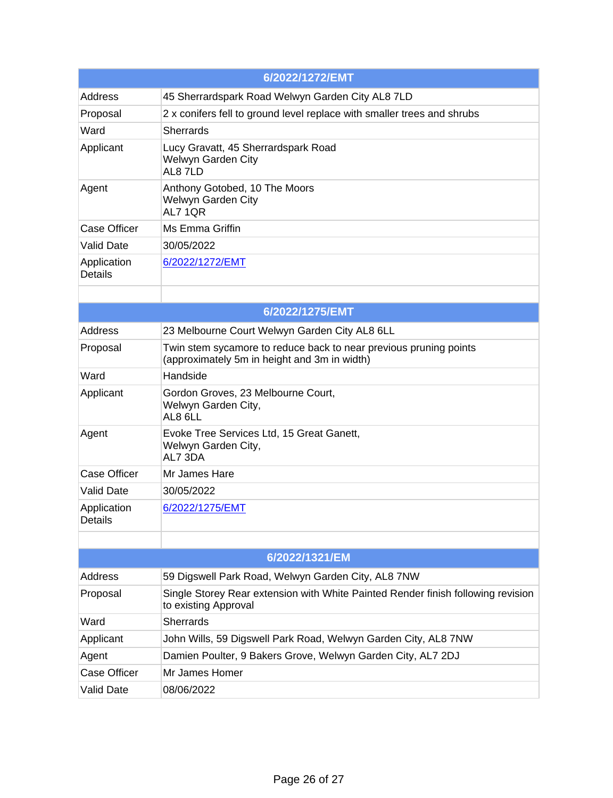| 6/2022/1272/EMT               |                                                                                                                   |
|-------------------------------|-------------------------------------------------------------------------------------------------------------------|
| <b>Address</b>                | 45 Sherrardspark Road Welwyn Garden City AL8 7LD                                                                  |
| Proposal                      | 2 x conifers fell to ground level replace with smaller trees and shrubs                                           |
| Ward                          | <b>Sherrards</b>                                                                                                  |
| Applicant                     | Lucy Gravatt, 45 Sherrardspark Road<br>Welwyn Garden City<br>AL87LD                                               |
| Agent                         | Anthony Gotobed, 10 The Moors<br>Welwyn Garden City<br><b>AL7 1QR</b>                                             |
| <b>Case Officer</b>           | Ms Emma Griffin                                                                                                   |
| <b>Valid Date</b>             | 30/05/2022                                                                                                        |
| Application<br><b>Details</b> | 6/2022/1272/EMT                                                                                                   |
|                               |                                                                                                                   |
| 6/2022/1275/EMT               |                                                                                                                   |
| Address                       | 23 Melbourne Court Welwyn Garden City AL8 6LL                                                                     |
| Proposal                      | Twin stem sycamore to reduce back to near previous pruning points<br>(approximately 5m in height and 3m in width) |
| Ward                          | Handside                                                                                                          |
| Applicant                     | Gordon Groves, 23 Melbourne Court,<br>Welwyn Garden City,<br>AL8 6LL                                              |
| Agent                         | Evoke Tree Services Ltd, 15 Great Ganett,<br>Welwyn Garden City,<br>AL7 3DA                                       |
| <b>Case Officer</b>           | Mr James Hare                                                                                                     |
| <b>Valid Date</b>             | 30/05/2022                                                                                                        |
| Application<br>Details        | 6/2022/1275/EMT                                                                                                   |
|                               |                                                                                                                   |
|                               | 6/2022/1321/EM                                                                                                    |
| Address                       | 59 Digswell Park Road, Welwyn Garden City, AL8 7NW                                                                |
| Proposal                      | Single Storey Rear extension with White Painted Render finish following revision<br>to existing Approval          |
| Ward                          | <b>Sherrards</b>                                                                                                  |
| Applicant                     | John Wills, 59 Digswell Park Road, Welwyn Garden City, AL8 7NW                                                    |
| Agent                         | Damien Poulter, 9 Bakers Grove, Welwyn Garden City, AL7 2DJ                                                       |
| <b>Case Officer</b>           | Mr James Homer                                                                                                    |
| <b>Valid Date</b>             | 08/06/2022                                                                                                        |